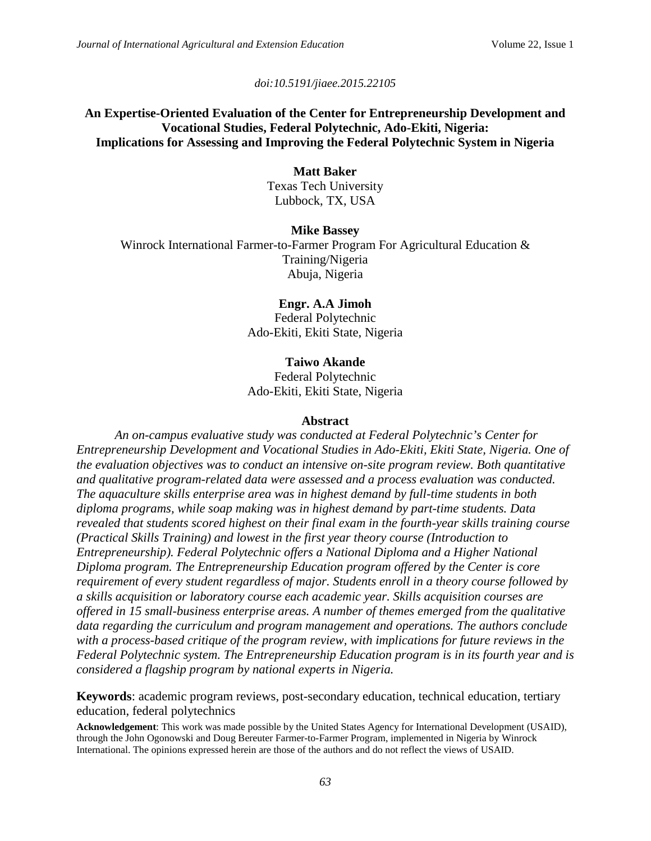*doi:10.5191/jiaee.2015.22105*

# **An Expertise-Oriented Evaluation of the Center for Entrepreneurship Development and Vocational Studies, Federal Polytechnic, Ado-Ekiti, Nigeria: Implications for Assessing and Improving the Federal Polytechnic System in Nigeria**

# **Matt Baker**

Texas Tech University Lubbock, TX, USA

**Mike Bassey** Winrock International Farmer-to-Farmer Program For Agricultural Education & Training/Nigeria Abuja, Nigeria

> **Engr. A.A Jimoh** Federal Polytechnic Ado-Ekiti, Ekiti State, Nigeria

## **Taiwo Akande**

Federal Polytechnic Ado-Ekiti, Ekiti State, Nigeria

### **Abstract**

*An on-campus evaluative study was conducted at Federal Polytechnic's Center for Entrepreneurship Development and Vocational Studies in Ado-Ekiti, Ekiti State, Nigeria. One of the evaluation objectives was to conduct an intensive on-site program review. Both quantitative and qualitative program-related data were assessed and a process evaluation was conducted. The aquaculture skills enterprise area was in highest demand by full-time students in both diploma programs, while soap making was in highest demand by part-time students. Data revealed that students scored highest on their final exam in the fourth-year skills training course (Practical Skills Training) and lowest in the first year theory course (Introduction to Entrepreneurship). Federal Polytechnic offers a National Diploma and a Higher National Diploma program. The Entrepreneurship Education program offered by the Center is core requirement of every student regardless of major. Students enroll in a theory course followed by a skills acquisition or laboratory course each academic year. Skills acquisition courses are offered in 15 small-business enterprise areas. A number of themes emerged from the qualitative data regarding the curriculum and program management and operations. The authors conclude with a process-based critique of the program review, with implications for future reviews in the Federal Polytechnic system. The Entrepreneurship Education program is in its fourth year and is considered a flagship program by national experts in Nigeria.*

**Keywords**: academic program reviews, post-secondary education, technical education, tertiary education, federal polytechnics

**Acknowledgement**: This work was made possible by the United States Agency for International Development (USAID), through the John Ogonowski and Doug Bereuter Farmer-to-Farmer Program, implemented in Nigeria by Winrock International. The opinions expressed herein are those of the authors and do not reflect the views of USAID.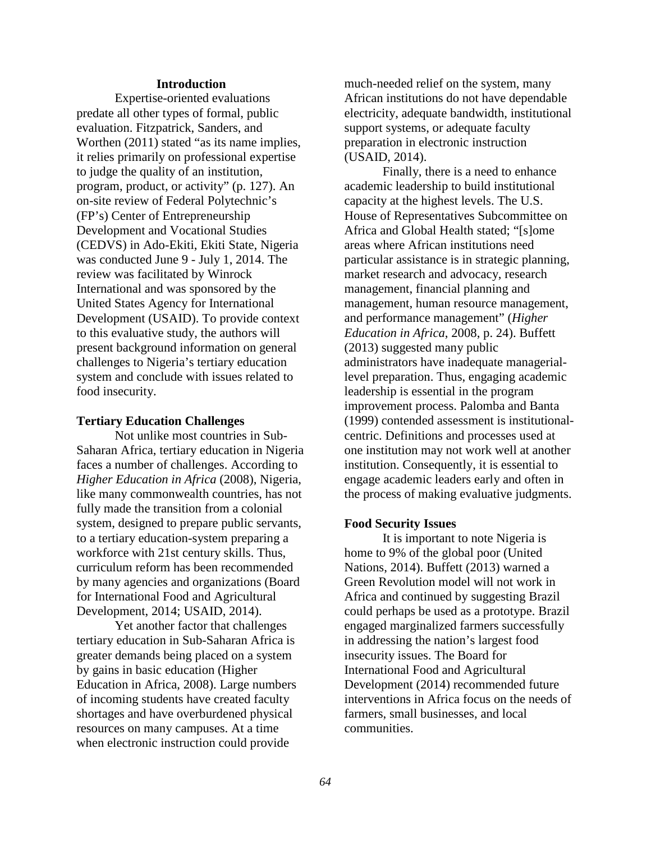#### **Introduction**

Expertise-oriented evaluations predate all other types of formal, public evaluation. Fitzpatrick, Sanders, and Worthen (2011) stated "as its name implies, it relies primarily on professional expertise to judge the quality of an institution, program, product, or activity" (p. 127). An on-site review of Federal Polytechnic's (FP's) Center of Entrepreneurship Development and Vocational Studies (CEDVS) in Ado-Ekiti, Ekiti State, Nigeria was conducted June 9 - July 1, 2014. The review was facilitated by Winrock International and was sponsored by the United States Agency for International Development (USAID). To provide context to this evaluative study, the authors will present background information on general challenges to Nigeria's tertiary education system and conclude with issues related to food insecurity.

#### **Tertiary Education Challenges**

Not unlike most countries in Sub-Saharan Africa, tertiary education in Nigeria faces a number of challenges. According to *Higher Education in Africa* (2008), Nigeria, like many commonwealth countries, has not fully made the transition from a colonial system, designed to prepare public servants, to a tertiary education-system preparing a workforce with 21st century skills. Thus, curriculum reform has been recommended by many agencies and organizations (Board for International Food and Agricultural Development, 2014; USAID, 2014).

Yet another factor that challenges tertiary education in Sub-Saharan Africa is greater demands being placed on a system by gains in basic education (Higher Education in Africa, 2008). Large numbers of incoming students have created faculty shortages and have overburdened physical resources on many campuses. At a time when electronic instruction could provide

much-needed relief on the system, many African institutions do not have dependable electricity, adequate bandwidth, institutional support systems, or adequate faculty preparation in electronic instruction (USAID, 2014).

Finally, there is a need to enhance academic leadership to build institutional capacity at the highest levels. The U.S. House of Representatives Subcommittee on Africa and Global Health stated; "[s]ome areas where African institutions need particular assistance is in strategic planning, market research and advocacy, research management, financial planning and management, human resource management, and performance management" (*Higher Education in Africa*, 2008, p. 24). Buffett (2013) suggested many public administrators have inadequate manageriallevel preparation. Thus, engaging academic leadership is essential in the program improvement process. Palomba and Banta (1999) contended assessment is institutionalcentric. Definitions and processes used at one institution may not work well at another institution. Consequently, it is essential to engage academic leaders early and often in the process of making evaluative judgments.

#### **Food Security Issues**

It is important to note Nigeria is home to 9% of the global poor (United Nations, 2014). Buffett (2013) warned a Green Revolution model will not work in Africa and continued by suggesting Brazil could perhaps be used as a prototype. Brazil engaged marginalized farmers successfully in addressing the nation's largest food insecurity issues. The Board for International Food and Agricultural Development (2014) recommended future interventions in Africa focus on the needs of farmers, small businesses, and local communities.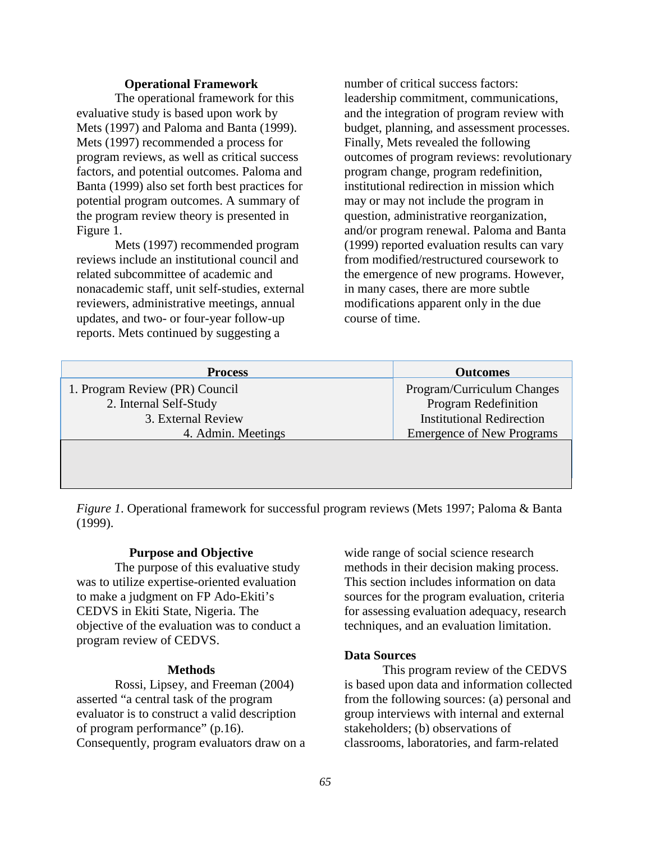#### **Operational Framework**

The operational framework for this evaluative study is based upon work by Mets (1997) and Paloma and Banta (1999). Mets (1997) recommended a process for program reviews, as well as critical success factors, and potential outcomes. Paloma and Banta (1999) also set forth best practices for potential program outcomes. A summary of the program review theory is presented in Figure 1.

Mets (1997) recommended program reviews include an institutional council and related subcommittee of academic and nonacademic staff, unit self-studies, external reviewers, administrative meetings, annual updates, and two- or four-year follow-up reports. Mets continued by suggesting a

number of critical success factors: leadership commitment, communications, and the integration of program review with budget, planning, and assessment processes. Finally, Mets revealed the following outcomes of program reviews: revolutionary program change, program redefinition, institutional redirection in mission which may or may not include the program in question, administrative reorganization, and/or program renewal. Paloma and Banta (1999) reported evaluation results can vary from modified/restructured coursework to the emergence of new programs. However, in many cases, there are more subtle modifications apparent only in the due course of time.

| <b>Process</b>                 | <b>Outcomes</b>                  |
|--------------------------------|----------------------------------|
| 1. Program Review (PR) Council | Program/Curriculum Changes       |
| 2. Internal Self-Study         | <b>Program Redefinition</b>      |
| 3. External Review             | <b>Institutional Redirection</b> |
| 4. Admin. Meetings             | <b>Emergence of New Programs</b> |
|                                |                                  |
|                                |                                  |

*Figure 1*. Operational framework for successful program reviews (Mets 1997; Paloma & Banta (1999).

#### **Purpose and Objective**

The purpose of this evaluative study was to utilize expertise-oriented evaluation to make a judgment on FP Ado-Ekiti's CEDVS in Ekiti State, Nigeria. The objective of the evaluation was to conduct a program review of CEDVS.

#### **Methods**

Rossi, Lipsey, and Freeman (2004) asserted "a central task of the program evaluator is to construct a valid description of program performance" (p.16). Consequently, program evaluators draw on a

wide range of social science research methods in their decision making process. This section includes information on data sources for the program evaluation, criteria for assessing evaluation adequacy, research techniques, and an evaluation limitation.

### **Data Sources**

This program review of the CEDVS is based upon data and information collected from the following sources: (a) personal and group interviews with internal and external stakeholders; (b) observations of classrooms, laboratories, and farm-related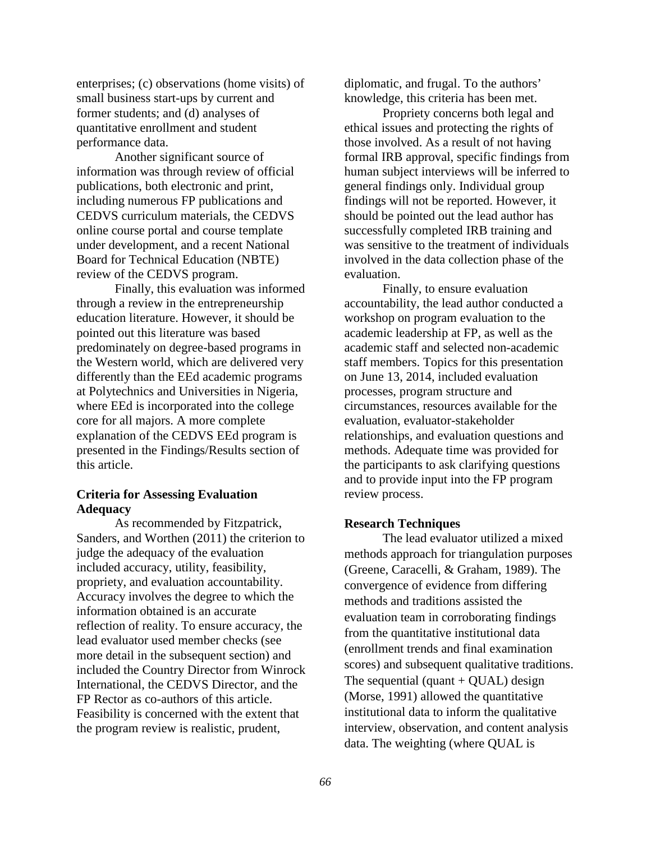enterprises; (c) observations (home visits) of small business start-ups by current and former students; and (d) analyses of quantitative enrollment and student performance data.

Another significant source of information was through review of official publications, both electronic and print, including numerous FP publications and CEDVS curriculum materials, the CEDVS online course portal and course template under development, and a recent National Board for Technical Education (NBTE) review of the CEDVS program.

Finally, this evaluation was informed through a review in the entrepreneurship education literature. However, it should be pointed out this literature was based predominately on degree-based programs in the Western world, which are delivered very differently than the EEd academic programs at Polytechnics and Universities in Nigeria, where EEd is incorporated into the college core for all majors. A more complete explanation of the CEDVS EEd program is presented in the Findings/Results section of this article.

### **Criteria for Assessing Evaluation Adequacy**

As recommended by Fitzpatrick, Sanders, and Worthen (2011) the criterion to judge the adequacy of the evaluation included accuracy, utility, feasibility, propriety, and evaluation accountability. Accuracy involves the degree to which the information obtained is an accurate reflection of reality. To ensure accuracy, the lead evaluator used member checks (see more detail in the subsequent section) and included the Country Director from Winrock International, the CEDVS Director, and the FP Rector as co-authors of this article. Feasibility is concerned with the extent that the program review is realistic, prudent,

diplomatic, and frugal. To the authors' knowledge, this criteria has been met.

Propriety concerns both legal and ethical issues and protecting the rights of those involved. As a result of not having formal IRB approval, specific findings from human subject interviews will be inferred to general findings only. Individual group findings will not be reported. However, it should be pointed out the lead author has successfully completed IRB training and was sensitive to the treatment of individuals involved in the data collection phase of the evaluation.

Finally, to ensure evaluation accountability, the lead author conducted a workshop on program evaluation to the academic leadership at FP, as well as the academic staff and selected non-academic staff members. Topics for this presentation on June 13, 2014, included evaluation processes, program structure and circumstances, resources available for the evaluation, evaluator-stakeholder relationships, and evaluation questions and methods. Adequate time was provided for the participants to ask clarifying questions and to provide input into the FP program review process.

#### **Research Techniques**

The lead evaluator utilized a mixed methods approach for triangulation purposes (Greene, Caracelli, & Graham, 1989). The convergence of evidence from differing methods and traditions assisted the evaluation team in corroborating findings from the quantitative institutional data (enrollment trends and final examination scores) and subsequent qualitative traditions. The sequential (quant  $+$  QUAL) design (Morse, 1991) allowed the quantitative institutional data to inform the qualitative interview, observation, and content analysis data. The weighting (where QUAL is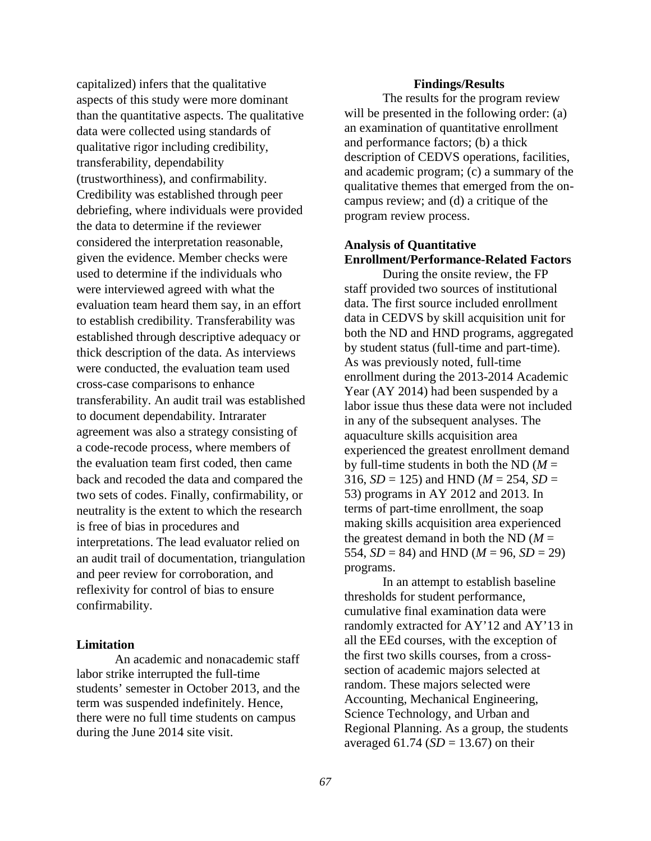capitalized) infers that the qualitative aspects of this study were more dominant than the quantitative aspects. The qualitative data were collected using standards of qualitative rigor including credibility, transferability, dependability (trustworthiness), and confirmability. Credibility was established through peer debriefing, where individuals were provided the data to determine if the reviewer considered the interpretation reasonable, given the evidence. Member checks were used to determine if the individuals who were interviewed agreed with what the evaluation team heard them say, in an effort to establish credibility. Transferability was established through descriptive adequacy or thick description of the data. As interviews were conducted, the evaluation team used cross-case comparisons to enhance transferability. An audit trail was established to document dependability. Intrarater agreement was also a strategy consisting of a code-recode process, where members of the evaluation team first coded, then came back and recoded the data and compared the two sets of codes. Finally, confirmability, or neutrality is the extent to which the research is free of bias in procedures and interpretations. The lead evaluator relied on an audit trail of documentation, triangulation and peer review for corroboration, and reflexivity for control of bias to ensure confirmability.

## **Limitation**

An academic and nonacademic staff labor strike interrupted the full-time students' semester in October 2013, and the term was suspended indefinitely. Hence, there were no full time students on campus during the June 2014 site visit.

#### **Findings/Results**

The results for the program review will be presented in the following order: (a) an examination of quantitative enrollment and performance factors; (b) a thick description of CEDVS operations, facilities, and academic program; (c) a summary of the qualitative themes that emerged from the oncampus review; and (d) a critique of the program review process.

# **Analysis of Quantitative Enrollment/Performance-Related Factors**

During the onsite review, the FP staff provided two sources of institutional data. The first source included enrollment data in CEDVS by skill acquisition unit for both the ND and HND programs, aggregated by student status (full-time and part-time). As was previously noted, full-time enrollment during the 2013-2014 Academic Year (AY 2014) had been suspended by a labor issue thus these data were not included in any of the subsequent analyses. The aquaculture skills acquisition area experienced the greatest enrollment demand by full-time students in both the ND  $(M =$ 316,  $SD = 125$ ) and HND ( $M = 254$ ,  $SD =$ 53) programs in AY 2012 and 2013. In terms of part-time enrollment, the soap making skills acquisition area experienced the greatest demand in both the ND  $(M =$ 554,  $SD = 84$ ) and HND ( $M = 96$ ,  $SD = 29$ ) programs.

In an attempt to establish baseline thresholds for student performance, cumulative final examination data were randomly extracted for AY'12 and AY'13 in all the EEd courses, with the exception of the first two skills courses, from a crosssection of academic majors selected at random. These majors selected were Accounting, Mechanical Engineering, Science Technology, and Urban and Regional Planning. As a group, the students averaged  $61.74$  ( $SD = 13.67$ ) on their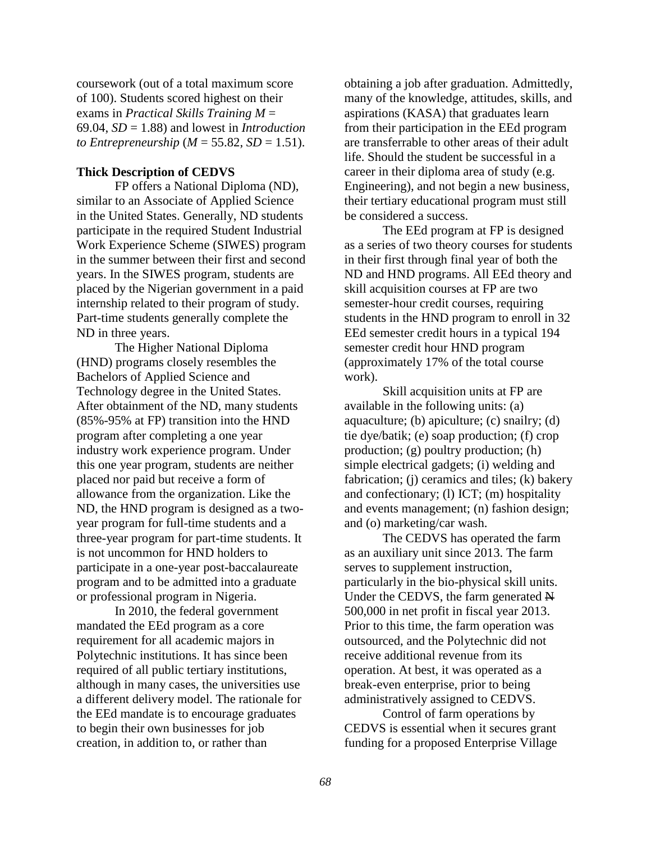coursework (out of a total maximum score of 100). Students scored highest on their exams in *Practical Skills Training M* = 69.04,  $SD = 1.88$ ) and lowest in *Introduction to Entrepreneurship* ( $M = 55.82$ ,  $SD = 1.51$ ).

## **Thick Description of CEDVS**

FP offers a National Diploma (ND), similar to an Associate of Applied Science in the United States. Generally, ND students participate in the required Student Industrial Work Experience Scheme (SIWES) program in the summer between their first and second years. In the SIWES program, students are placed by the Nigerian government in a paid internship related to their program of study. Part-time students generally complete the ND in three years.

The Higher National Diploma (HND) programs closely resembles the Bachelors of Applied Science and Technology degree in the United States. After obtainment of the ND, many students (85%-95% at FP) transition into the HND program after completing a one year industry work experience program. Under this one year program, students are neither placed nor paid but receive a form of allowance from the organization. Like the ND, the HND program is designed as a twoyear program for full-time students and a three-year program for part-time students. It is not uncommon for HND holders to participate in a one-year post-baccalaureate program and to be admitted into a graduate or professional program in Nigeria.

In 2010, the federal government mandated the EEd program as a core requirement for all academic majors in Polytechnic institutions. It has since been required of all public tertiary institutions, although in many cases, the universities use a different delivery model. The rationale for the EEd mandate is to encourage graduates to begin their own businesses for job creation, in addition to, or rather than

obtaining a job after graduation. Admittedly, many of the knowledge, attitudes, skills, and aspirations (KASA) that graduates learn from their participation in the EEd program are transferrable to other areas of their adult life. Should the student be successful in a career in their diploma area of study (e.g. Engineering), and not begin a new business, their tertiary educational program must still be considered a success.

The EEd program at FP is designed as a series of two theory courses for students in their first through final year of both the ND and HND programs. All EEd theory and skill acquisition courses at FP are two semester-hour credit courses, requiring students in the HND program to enroll in 32 EEd semester credit hours in a typical 194 semester credit hour HND program (approximately 17% of the total course work).

Skill acquisition units at FP are available in the following units: (a) aquaculture; (b) apiculture; (c) snailry; (d) tie dye/batik; (e) soap production; (f) crop production; (g) poultry production; (h) simple electrical gadgets; (i) welding and fabrication; (j) ceramics and tiles; (k) bakery and confectionary; (l) ICT; (m) hospitality and events management; (n) fashion design; and (o) marketing/car wash.

The CEDVS has operated the farm as an auxiliary unit since 2013. The farm serves to supplement instruction, particularly in the bio-physical skill units. Under the CEDVS, the farm generated  $\overline{H}$ 500,000 in net profit in fiscal year 2013. Prior to this time, the farm operation was outsourced, and the Polytechnic did not receive additional revenue from its operation. At best, it was operated as a break-even enterprise, prior to being administratively assigned to CEDVS.

Control of farm operations by CEDVS is essential when it secures grant funding for a proposed Enterprise Village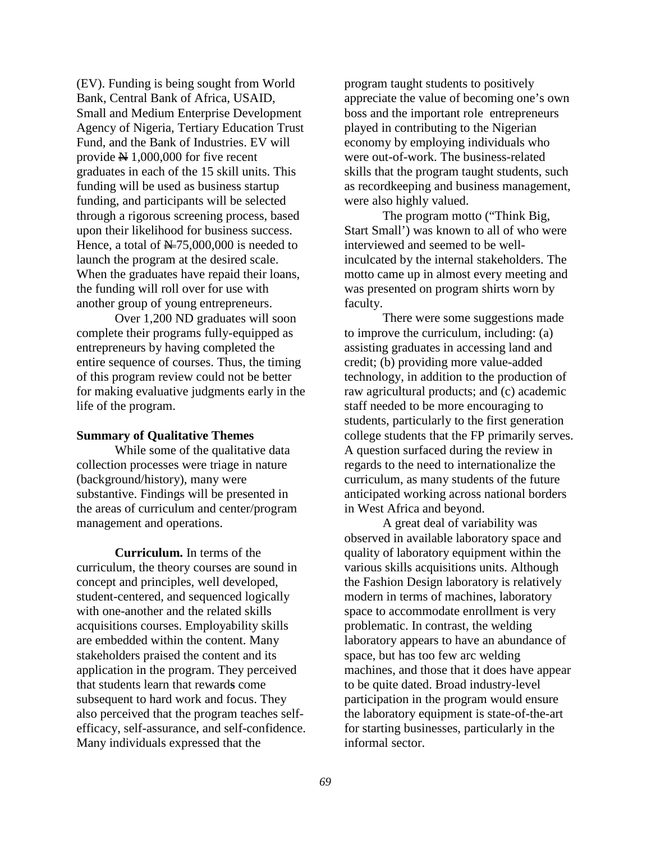(EV). Funding is being sought from World Bank, Central Bank of Africa, USAID, Small and Medium Enterprise Development Agency of Nigeria, Tertiary Education Trust Fund, and the Bank of Industries. EV will provide  $\cancel{\text{N}}$  1,000,000 for five recent graduates in each of the 15 skill units. This funding will be used as business startup funding, and participants will be selected through a rigorous screening process, based upon their likelihood for business success. Hence, a total of  $\cancel{\text{N} = 75,000,000}$  is needed to launch the program at the desired scale. When the graduates have repaid their loans, the funding will roll over for use with another group of young entrepreneurs.

Over 1,200 ND graduates will soon complete their programs fully-equipped as entrepreneurs by having completed the entire sequence of courses. Thus, the timing of this program review could not be better for making evaluative judgments early in the life of the program.

### **Summary of Qualitative Themes**

While some of the qualitative data collection processes were triage in nature (background/history), many were substantive. Findings will be presented in the areas of curriculum and center/program management and operations.

**Curriculum.** In terms of the curriculum, the theory courses are sound in concept and principles, well developed, student-centered, and sequenced logically with one-another and the related skills acquisitions courses. Employability skills are embedded within the content. Many stakeholders praised the content and its application in the program. They perceived that students learn that reward**s** come subsequent to hard work and focus. They also perceived that the program teaches selfefficacy, self-assurance, and self-confidence. Many individuals expressed that the

program taught students to positively appreciate the value of becoming one's own boss and the important role entrepreneurs played in contributing to the Nigerian economy by employing individuals who were out-of-work. The business-related skills that the program taught students, such as recordkeeping and business management, were also highly valued.

The program motto ("Think Big, Start Small') was known to all of who were interviewed and seemed to be wellinculcated by the internal stakeholders. The motto came up in almost every meeting and was presented on program shirts worn by faculty.

There were some suggestions made to improve the curriculum, including: (a) assisting graduates in accessing land and credit; (b) providing more value-added technology, in addition to the production of raw agricultural products; and (c) academic staff needed to be more encouraging to students, particularly to the first generation college students that the FP primarily serves. A question surfaced during the review in regards to the need to internationalize the curriculum, as many students of the future anticipated working across national borders in West Africa and beyond.

A great deal of variability was observed in available laboratory space and quality of laboratory equipment within the various skills acquisitions units. Although the Fashion Design laboratory is relatively modern in terms of machines, laboratory space to accommodate enrollment is very problematic. In contrast, the welding laboratory appears to have an abundance of space, but has too few arc welding machines, and those that it does have appear to be quite dated. Broad industry-level participation in the program would ensure the laboratory equipment is state-of-the-art for starting businesses, particularly in the informal sector.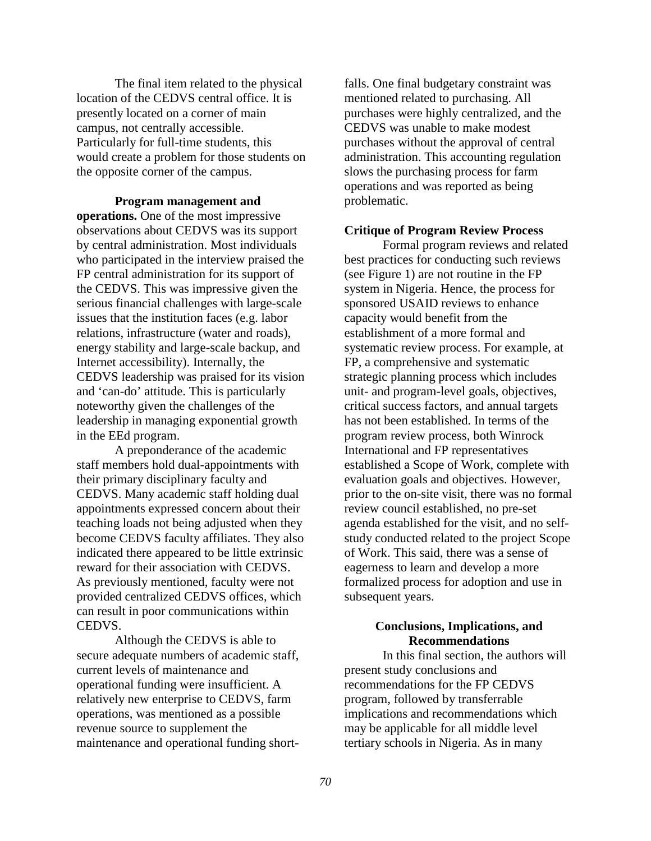The final item related to the physical location of the CEDVS central office. It is presently located on a corner of main campus, not centrally accessible. Particularly for full-time students, this would create a problem for those students on the opposite corner of the campus.

**Program management and operations.** One of the most impressive observations about CEDVS was its support by central administration. Most individuals who participated in the interview praised the FP central administration for its support of the CEDVS. This was impressive given the serious financial challenges with large-scale issues that the institution faces (e.g. labor relations, infrastructure (water and roads), energy stability and large-scale backup, and Internet accessibility). Internally, the CEDVS leadership was praised for its vision and 'can-do' attitude. This is particularly noteworthy given the challenges of the leadership in managing exponential growth in the EEd program.

A preponderance of the academic staff members hold dual-appointments with their primary disciplinary faculty and CEDVS. Many academic staff holding dual appointments expressed concern about their teaching loads not being adjusted when they become CEDVS faculty affiliates. They also indicated there appeared to be little extrinsic reward for their association with CEDVS. As previously mentioned, faculty were not provided centralized CEDVS offices, which can result in poor communications within CEDVS.

Although the CEDVS is able to secure adequate numbers of academic staff, current levels of maintenance and operational funding were insufficient. A relatively new enterprise to CEDVS, farm operations, was mentioned as a possible revenue source to supplement the maintenance and operational funding short-

falls. One final budgetary constraint was mentioned related to purchasing. All purchases were highly centralized, and the CEDVS was unable to make modest purchases without the approval of central administration. This accounting regulation slows the purchasing process for farm operations and was reported as being problematic.

#### **Critique of Program Review Process**

Formal program reviews and related best practices for conducting such reviews (see Figure 1) are not routine in the FP system in Nigeria. Hence, the process for sponsored USAID reviews to enhance capacity would benefit from the establishment of a more formal and systematic review process. For example, at FP, a comprehensive and systematic strategic planning process which includes unit- and program-level goals, objectives, critical success factors, and annual targets has not been established. In terms of the program review process, both Winrock International and FP representatives established a Scope of Work, complete with evaluation goals and objectives. However, prior to the on-site visit, there was no formal review council established, no pre-set agenda established for the visit, and no selfstudy conducted related to the project Scope of Work. This said, there was a sense of eagerness to learn and develop a more formalized process for adoption and use in subsequent years.

### **Conclusions, Implications, and Recommendations**

In this final section, the authors will present study conclusions and recommendations for the FP CEDVS program, followed by transferrable implications and recommendations which may be applicable for all middle level tertiary schools in Nigeria. As in many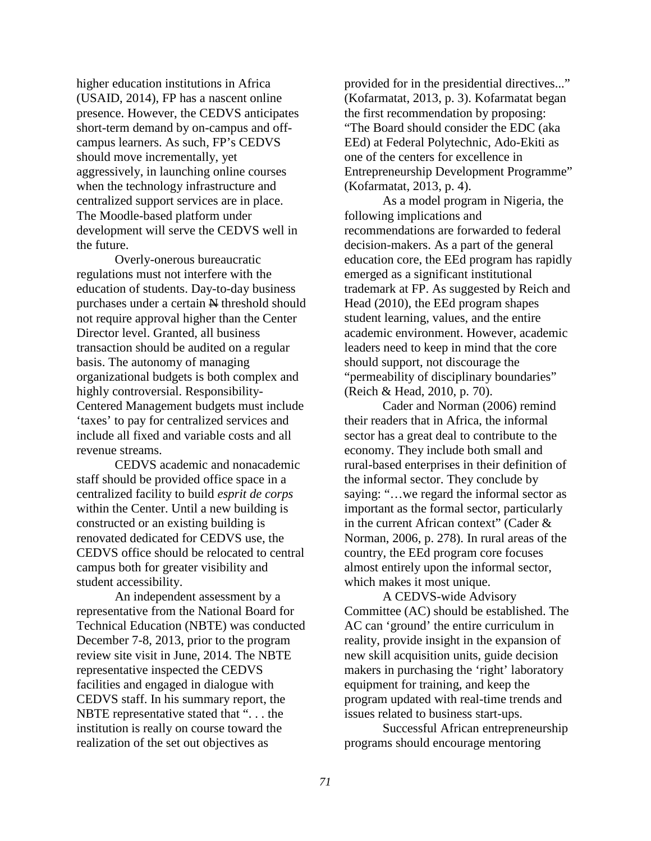higher education institutions in Africa (USAID, 2014), FP has a nascent online presence. However, the CEDVS anticipates short-term demand by on-campus and offcampus learners. As such, FP's CEDVS should move incrementally, yet aggressively, in launching online courses when the technology infrastructure and centralized support services are in place. The Moodle-based platform under development will serve the CEDVS well in the future.

Overly-onerous bureaucratic regulations must not interfere with the education of students. Day-to-day business purchases under a certain  $\mathbb{N}$  threshold should not require approval higher than the Center Director level. Granted, all business transaction should be audited on a regular basis. The autonomy of managing organizational budgets is both complex and highly controversial. Responsibility-Centered Management budgets must include 'taxes' to pay for centralized services and include all fixed and variable costs and all revenue streams.

CEDVS academic and nonacademic staff should be provided office space in a centralized facility to build *esprit de corps* within the Center. Until a new building is constructed or an existing building is renovated dedicated for CEDVS use, the CEDVS office should be relocated to central campus both for greater visibility and student accessibility.

An independent assessment by a representative from the National Board for Technical Education (NBTE) was conducted December 7-8, 2013, prior to the program review site visit in June, 2014. The NBTE representative inspected the CEDVS facilities and engaged in dialogue with CEDVS staff. In his summary report, the NBTE representative stated that ". . . the institution is really on course toward the realization of the set out objectives as

provided for in the presidential directives..." (Kofarmatat, 2013, p. 3). Kofarmatat began the first recommendation by proposing: "The Board should consider the EDC (aka EEd) at Federal Polytechnic, Ado-Ekiti as one of the centers for excellence in Entrepreneurship Development Programme" (Kofarmatat, 2013, p. 4).

As a model program in Nigeria, the following implications and recommendations are forwarded to federal decision-makers. As a part of the general education core, the EEd program has rapidly emerged as a significant institutional trademark at FP. As suggested by Reich and Head (2010), the EEd program shapes student learning, values, and the entire academic environment. However, academic leaders need to keep in mind that the core should support, not discourage the "permeability of disciplinary boundaries" (Reich & Head, 2010, p. 70).

Cader and Norman (2006) remind their readers that in Africa, the informal sector has a great deal to contribute to the economy. They include both small and rural-based enterprises in their definition of the informal sector. They conclude by saying: "…we regard the informal sector as important as the formal sector, particularly in the current African context" (Cader & Norman, 2006, p. 278). In rural areas of the country, the EEd program core focuses almost entirely upon the informal sector, which makes it most unique.

A CEDVS-wide Advisory Committee (AC) should be established. The AC can 'ground' the entire curriculum in reality, provide insight in the expansion of new skill acquisition units, guide decision makers in purchasing the 'right' laboratory equipment for training, and keep the program updated with real-time trends and issues related to business start-ups.

Successful African entrepreneurship programs should encourage mentoring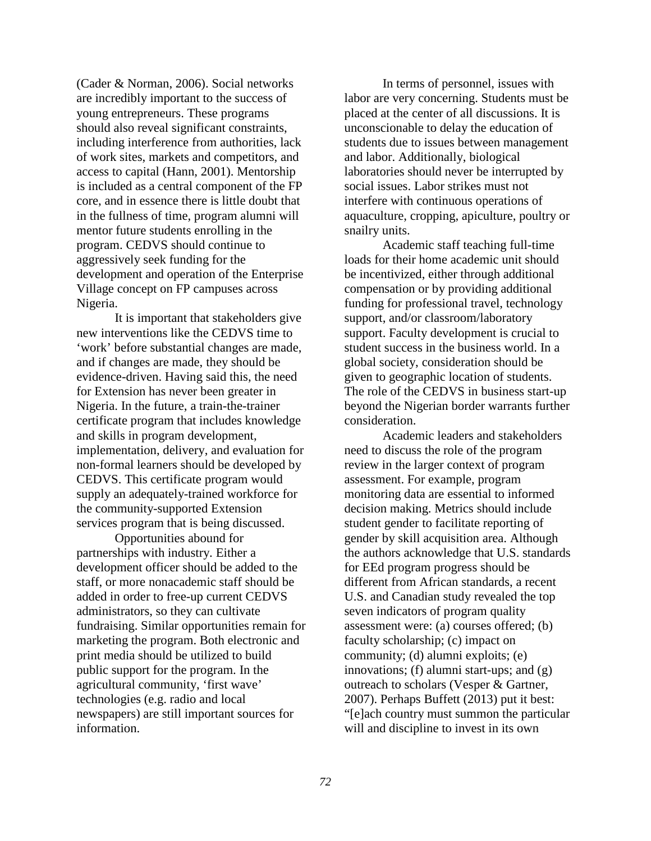(Cader & Norman, 2006). Social networks are incredibly important to the success of young entrepreneurs. These programs should also reveal significant constraints, including interference from authorities, lack of work sites, markets and competitors, and access to capital (Hann, 2001). Mentorship is included as a central component of the FP core, and in essence there is little doubt that in the fullness of time, program alumni will mentor future students enrolling in the program. CEDVS should continue to aggressively seek funding for the development and operation of the Enterprise Village concept on FP campuses across Nigeria.

It is important that stakeholders give new interventions like the CEDVS time to 'work' before substantial changes are made, and if changes are made, they should be evidence-driven. Having said this, the need for Extension has never been greater in Nigeria. In the future, a train-the-trainer certificate program that includes knowledge and skills in program development, implementation, delivery, and evaluation for non-formal learners should be developed by CEDVS. This certificate program would supply an adequately-trained workforce for the community-supported Extension services program that is being discussed.

Opportunities abound for partnerships with industry. Either a development officer should be added to the staff, or more nonacademic staff should be added in order to free-up current CEDVS administrators, so they can cultivate fundraising. Similar opportunities remain for marketing the program. Both electronic and print media should be utilized to build public support for the program. In the agricultural community, 'first wave' technologies (e.g. radio and local newspapers) are still important sources for information.

In terms of personnel, issues with labor are very concerning. Students must be placed at the center of all discussions. It is unconscionable to delay the education of students due to issues between management and labor. Additionally, biological laboratories should never be interrupted by social issues. Labor strikes must not interfere with continuous operations of aquaculture, cropping, apiculture, poultry or snailry units.

Academic staff teaching full-time loads for their home academic unit should be incentivized, either through additional compensation or by providing additional funding for professional travel, technology support, and/or classroom/laboratory support. Faculty development is crucial to student success in the business world. In a global society, consideration should be given to geographic location of students. The role of the CEDVS in business start-up beyond the Nigerian border warrants further consideration.

Academic leaders and stakeholders need to discuss the role of the program review in the larger context of program assessment. For example, program monitoring data are essential to informed decision making. Metrics should include student gender to facilitate reporting of gender by skill acquisition area. Although the authors acknowledge that U.S. standards for EEd program progress should be different from African standards, a recent U.S. and Canadian study revealed the top seven indicators of program quality assessment were: (a) courses offered; (b) faculty scholarship; (c) impact on community; (d) alumni exploits; (e) innovations; (f) alumni start-ups; and (g) outreach to scholars (Vesper & Gartner, 2007). Perhaps Buffett (2013) put it best: "[e]ach country must summon the particular will and discipline to invest in its own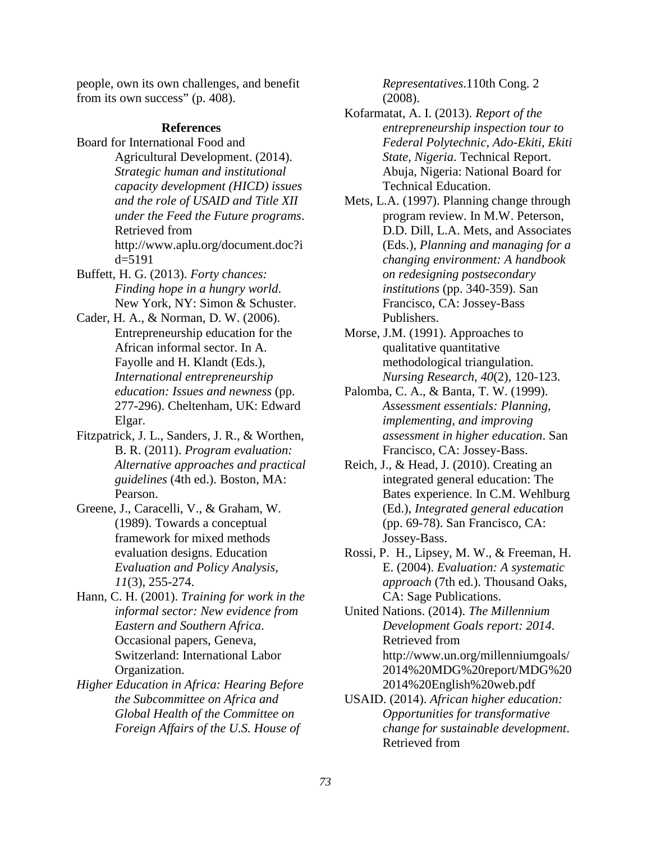people, own its own challenges, and benefit from its own success" (p. 408).

### **References**

- Board for International Food and Agricultural Development. (2014). *Strategic human and institutional capacity development (HICD) issues and the role of USAID and Title XII under the Feed the Future programs*. Retrieved from http://www.aplu.org/document.doc?i d=5191
- Buffett, H. G. (2013). *Forty chances: Finding hope in a hungry world*. New York, NY: Simon & Schuster.
- Cader, H. A., & Norman, D. W. (2006). Entrepreneurship education for the African informal sector. In A. Fayolle and H. Klandt (Eds.), *International entrepreneurship education: Issues and newness* (pp. 277-296). Cheltenham, UK: Edward Elgar.
- Fitzpatrick, J. L., Sanders, J. R., & Worthen, B. R. (2011). *Program evaluation: Alternative approaches and practical guidelines* (4th ed.). Boston, MA: Pearson.
- Greene, J., Caracelli, V., & Graham, W. (1989). Towards a conceptual framework for mixed methods evaluation designs. Education *Evaluation and Policy Analysis, 11*(3), 255-274.
- Hann, C. H. (2001). *Training for work in the informal sector: New evidence from Eastern and Southern Africa*. Occasional papers, Geneva, Switzerland: International Labor Organization.
- *Higher Education in Africa: Hearing Before the Subcommittee on Africa and Global Health of the Committee on Foreign Affairs of the U.S. House of*

*Representatives*.110th Cong. 2 (2008).

- Kofarmatat, A. I. (2013). *Report of the entrepreneurship inspection tour to Federal Polytechnic, Ado-Ekiti, Ekiti State, Nigeria*. Technical Report. Abuja, Nigeria: National Board for Technical Education.
- Mets, L.A. (1997). Planning change through program review. In M.W. Peterson, D.D. Dill, L.A. Mets, and Associates (Eds.), *Planning and managing for a changing environment: A handbook on redesigning postsecondary institutions* (pp. 340-359). San Francisco, CA: Jossey-Bass Publishers.
- Morse, J.M. (1991). Approaches to qualitative quantitative methodological triangulation. *Nursing Research*, *40*(2), 120-123.
- Palomba, C. A., & Banta, T. W. (1999). *Assessment essentials: Planning, implementing, and improving assessment in higher education*. San Francisco, CA: Jossey-Bass.
- Reich, J., & Head, J. (2010). Creating an integrated general education: The Bates experience. In C.M. Wehlburg (Ed.), *Integrated general education*  (pp. 69-78). San Francisco, CA: Jossey-Bass.
- Rossi, P. H., Lipsey, M. W., & Freeman, H. E. (2004). *Evaluation: A systematic approach* (7th ed.). Thousand Oaks, CA: Sage Publications.

United Nations. (2014). *The Millennium Development Goals report: 2014*. Retrieved from http://www.un.org/millenniumgoals/ 2014%20MDG%20report/MDG%20 2014%20English%20web.pdf

USAID. (2014). *African higher education: Opportunities for transformative change for sustainable development*. Retrieved from